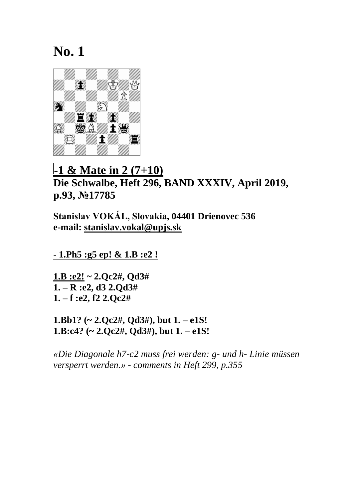

## **-1 & Mate in 2 (7+10) Die Schwalbe, Heft 296, BAND XXXIV, April 2019, p.93, №17785**

**Stanislav VOKÁL, Slovakia, 04401 Drienovec 536 e-mail: [stanislav.vokal@upjs.sk](mailto:stanislav.vokal@upjs.sk)**

**- 1.Ph5 :g5 ep! & 1.B :e2 !** 

**1.B :e2! ~ 2.Qc2#, Qd3# 1. – R :e2, d3 2.Qd3# 1. – f :e2, f2 2.Qc2#**

**1.Bb1? (~ 2.Qc2#, Qd3#), but 1. – e1S! 1.B:c4? (~ 2.Qc2#, Qd3#), but 1. – e1S!**

*«Die Diagonale h7-c2 muss frei werden: g- und h- Linie müssen versperrt werden.» - comments in Heft 299, p.355*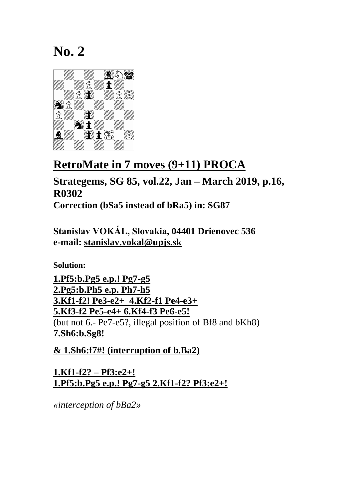

## **RetroMate in 7 moves (9+11) PROCA**

**Strategems, SG 85, vol.22, Jan – March 2019, p.16, R0302 Correction (bSa5 instead of bRa5) in: SG87**

**Stanislav VOKÁL, Slovakia, 04401 Drienovec 536 e-mail: [stanislav.vokal@upjs.sk](mailto:stanislav.vokal@upjs.sk)**

**Solution:**

**1.Pf5:b.Pg5 e.p.! Pg7-g5 2.Pg5:b.Ph5 e.p. Ph7-h5 3.Kf1-f2! Pe3-e2+ 4.Kf2-f1 Pe4-e3+ 5.Kf3-f2 Pe5-e4+ 6.Kf4-f3 Pe6-e5!**  (but not 6.- Pe7-e5?, illegal position of Bf8 and bKh8) **7.Sh6:b.Sg8!** 

**& 1.Sh6:f7#! (interruption of b.Ba2)**

**1.Kf1-f2? – Pf3:e2+! 1.Pf5:b.Pg5 e.p.! Pg7-g5 2.Kf1-f2? Pf3:e2+!**

*«interception of bBa2»*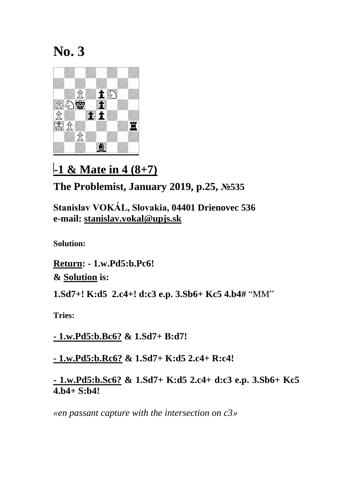

**-1 & Mate in 4 (8+7)**

**The Problemist, January 2019, p.25, №535**

**Stanislav VOKÁL, Slovakia, 04401 Drienovec 536 e-mail: [stanislav.vokal@upjs.sk](mailto:stanislav.vokal@upjs.sk)**

**Solution:**

**Return: - 1.w.Pd5:b.Pc6! & Solution is:** 

**1.Sd7+! K:d5 2.c4+! d:c3 e.p. 3.Sb6+ Kc5 4.b4#** "MM"

**Tries:** 

**- 1.w.Pd5:b.Bc6? & 1.Sd7+ B:d7!**

**- 1.w.Pd5:b.Rc6? & 1.Sd7+ K:d5 2.c4+ R:c4!**

**- 1.w.Pd5:b.Sc6? & 1.Sd7+ K:d5 2.c4+ d:c3 e.p. 3.Sb6+ Kc5 4.b4+ S:b4!**

*«en passant capture with the intersection on c3»*